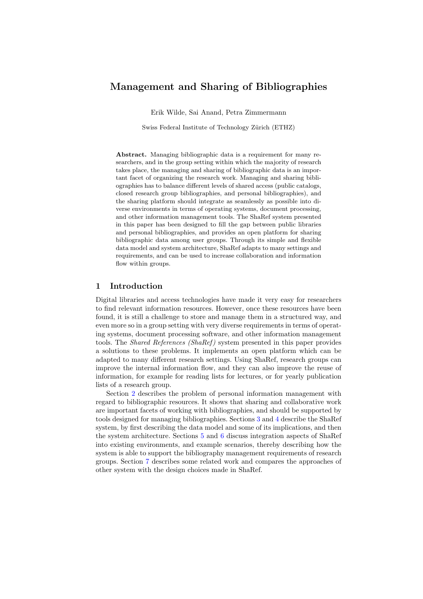# Management and Sharing of Bibliographies

Erik Wilde, Sai Anand, Petra Zimmermann

Swiss Federal Institute of Technology Zürich (ETHZ)

Abstract. Managing bibliographic data is a requirement for many researchers, and in the group setting within which the majority of research takes place, the managing and sharing of bibliographic data is an important facet of organizing the research work. Managing and sharing bibliographies has to balance different levels of shared access (public catalogs, closed research group bibliographies, and personal bibliographies), and the sharing platform should integrate as seamlessly as possible into diverse environments in terms of operating systems, document processing, and other information management tools. The ShaRef system presented in this paper has been designed to fill the gap between public libraries and personal bibliographies, and provides an open platform for sharing bibliographic data among user groups. Through its simple and flexible data model and system architecture, ShaRef adapts to many settings and requirements, and can be used to increase collaboration and information flow within groups.

### 1 Introduction

Digital libraries and access technologies have made it very easy for researchers to find relevant information resources. However, once these resources have been found, it is still a challenge to store and manage them in a structured way, and even more so in a group setting with very diverse requirements in terms of operating systems, document processing software, and other information management tools. The *Shared References (ShaRef)* system presented in this paper provides a solutions to these problems. It implements an open platform which can be adapted to many different research settings. Using ShaRef, research groups can improve the internal information flow, and they can also improve the reuse of information, for example for reading lists for lectures, or for yearly publication lists of a research group.

Section [2](#page-1-0) describes the problem of personal information management with regard to bibliographic resources. It shows that sharing and collaborative work are important facets of working with bibliographies, and should be supported by tools designed for managing bibliographies. Sections [3](#page-1-0) and [4](#page-5-0) describe the ShaRef system, by first describing the data model and some of its implications, and then the system architecture. Sections [5](#page-7-0) and [6](#page-9-0) discuss integration aspects of ShaRef into existing environments, and example scenarios, thereby describing how the system is able to support the bibliography management requirements of research groups. Section [7](#page-10-0) describes some related work and compares the approaches of other system with the design choices made in ShaRef.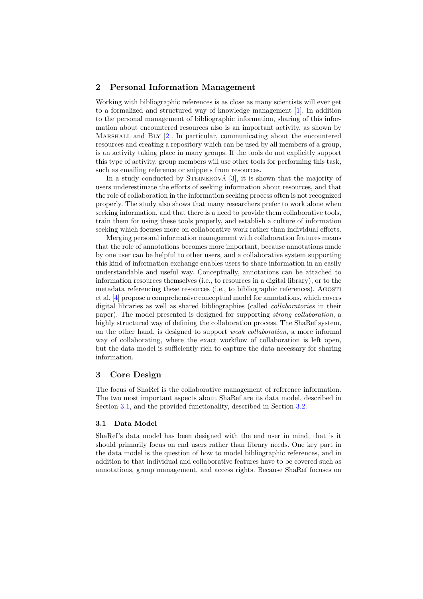### <span id="page-1-0"></span>2 Personal Information Management

Working with bibliographic references is as close as many scientists will ever get to a formalized and structured way of knowledge management [\[1\]](#page-11-0). In addition to the personal management of bibliographic information, sharing of this information about encountered resources also is an important activity, as shown by MARSHALL and BLY [\[2\]](#page-11-0). In particular, communicating about the encountered resources and creating a repository which can be used by all members of a group, is an activity taking place in many groups. If the tools do not explicitly support this type of activity, group members will use other tools for performing this task, such as emailing reference or snippets from resources.

In a study conducted by STEINEROVÁ  $[3]$ , it is shown that the majority of users underestimate the efforts of seeking information about resources, and that the role of collaboration in the information seeking process often is not recognized properly. The study also shows that many researchers prefer to work alone when seeking information, and that there is a need to provide them collaborative tools, train them for using these tools properly, and establish a culture of information seeking which focuses more on collaborative work rather than individual efforts.

Merging personal information management with collaboration features means that the role of annotations becomes more important, because annotations made by one user can be helpful to other users, and a collaborative system supporting this kind of information exchange enables users to share information in an easily understandable and useful way. Conceptually, annotations can be attached to information resources themselves (i.e., to resources in a digital library), or to the metadata referencing these resources (i.e., to bibliographic references). Agosti et al. [\[4\]](#page-11-0) propose a comprehensive conceptual model for annotations, which covers digital libraries as well as shared bibliographies (called collaboratories in their paper). The model presented is designed for supporting strong collaboration, a highly structured way of defining the collaboration process. The ShaRef system, on the other hand, is designed to support weak collaboration, a more informal way of collaborating, where the exact workflow of collaboration is left open, but the data model is sufficiently rich to capture the data necessary for sharing information.

#### 3 Core Design

The focus of ShaRef is the collaborative management of reference information. The two most important aspects about ShaRef are its data model, described in Section 3.1, and the provided functionality, described in Section [3.2.](#page-3-0)

### 3.1 Data Model

ShaRef's data model has been designed with the end user in mind, that is it should primarily focus on end users rather than library needs. One key part in the data model is the question of how to model bibliographic references, and in addition to that individual and collaborative features have to be covered such as annotations, group management, and access rights. Because ShaRef focuses on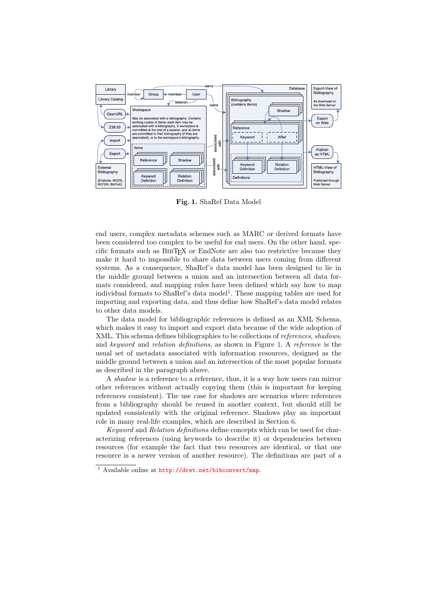<span id="page-2-0"></span>

Fig. 1. ShaRef Data Model

end users, complex metadata schemes such as MARC or derived formats have been considered too complex to be useful for end users. On the other hand, specific formats such as BibTEX or EndNote are also too restrictive because they make it hard to impossible to share data between users coming from different systems. As a consequence, ShaRef's data model has been designed to lie in the middle ground between a union and an intersection between all data formats considered, and mapping rules have been defined which say how to map individual formats to ShaRef's data model<sup>1</sup>. These mapping tables are used for importing and exporting data, and thus define how ShaRef's data model relates to other data models.

The data model for bibliographic references is defined as an XML Schema, which makes it easy to import and export data because of the wide adoption of XML. This schema defines bibliographies to be collections of *references*, shadows, and keyword and relation definitions, as shown in Figure 1. A reference is the usual set of metadata associated with information resources, designed as the middle ground between a union and an intersection of the most popular formats as described in the paragraph above.

A shadow is a reference to a reference, thus, it is a way how users can mirror other references without actually copying them (this is important for keeping references consistent). The use case for shadows are scenarios where references from a bibliography should be reused in another context, but should still be updated consistently with the original reference. Shadows play an important role in many real-life examples, which are described in Section [6.](#page-9-0)

Keyword and Relation definitions define concepts which can be used for characterizing references (using keywords to describe it) or dependencies between resources (for example the fact that two resources are identical, or that one resource is a newer version of another resource). The definitions are part of a

<sup>1</sup> Available online at <http://dret.net/bibconvert/map>.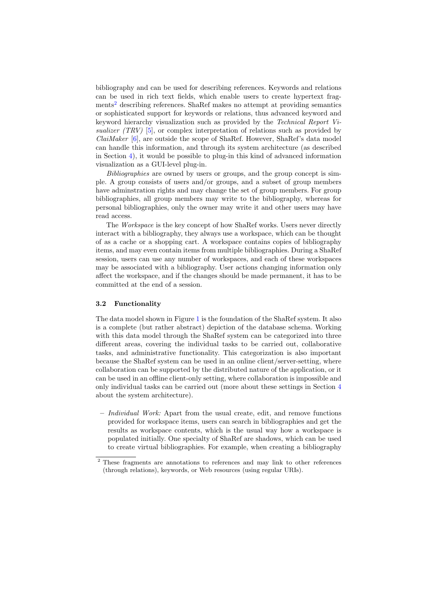<span id="page-3-0"></span>bibliography and can be used for describing references. Keywords and relations can be used in rich text fields, which enable users to create hypertext fragments<sup>2</sup> describing references. ShaRef makes no attempt at providing semantics or sophisticated support for keywords or relations, thus advanced keyword and keyword hierarchy visualization such as provided by the Technical Report Visualizer *(TRV)* [\[5\]](#page-11-0), or complex interpretation of relations such as provided by  $Claimaker [6]$  $Claimaker [6]$ , are outside the scope of ShaRef. However, ShaRef's data model can handle this information, and through its system architecture (as described in Section [4\)](#page-5-0), it would be possible to plug-in this kind of advanced information visualization as a GUI-level plug-in.

Bibliographies are owned by users or groups, and the group concept is simple. A group consists of users and/or groups, and a subset of group members have adminstration rights and may change the set of group members. For group bibliographies, all group members may write to the bibliography, whereas for personal bibliographies, only the owner may write it and other users may have read access.

The Workspace is the key concept of how ShaRef works. Users never directly interact with a bibliography, they always use a workspace, which can be thought of as a cache or a shopping cart. A workspace contains copies of bibliography items, and may even contain items from multiple bibliographies. During a ShaRef session, users can use any number of workspaces, and each of these workspaces may be associated with a bibliography. User actions changing information only affect the workspace, and if the changes should be made permanent, it has to be committed at the end of a session.

#### 3.2 Functionality

The data model shown in Figure [1](#page-2-0) is the foundation of the ShaRef system. It also is a complete (but rather abstract) depiction of the database schema. Working with this data model through the ShaRef system can be categorized into three different areas, covering the individual tasks to be carried out, collaborative tasks, and administrative functionality. This categorization is also important because the ShaRef system can be used in an online client/server-setting, where collaboration can be supported by the distributed nature of the application, or it can be used in an offline client-only setting, where collaboration is impossible and only individual tasks can be carried out (more about these settings in Section [4](#page-5-0) about the system architecture).

 $-$  *Individual Work:* Apart from the usual create, edit, and remove functions provided for workspace items, users can search in bibliographies and get the results as workspace contents, which is the usual way how a workspace is populated initially. One specialty of ShaRef are shadows, which can be used to create virtual bibliographies. For example, when creating a bibliography

<sup>2</sup> These fragments are annotations to references and may link to other references (through relations), keywords, or Web resources (using regular URIs).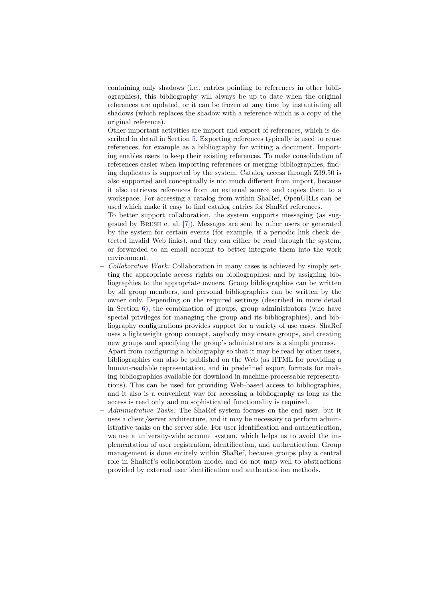containing only shadows (i.e., entries pointing to references in other bibliographies), this bibliography will always be up to date when the original references are updated, or it can be frozen at any time by instantiating all shadows (which replaces the shadow with a reference which is a copy of the original reference).

Other important activities are import and export of references, which is described in detail in Section [5.](#page-7-0) Exporting references typically is used to reuse references, for example as a bibliography for writing a document. Importing enables users to keep their existing references. To make consolidation of references easier when importing references or merging bibliographies, finding duplicates is supported by the system. Catalog access through Z39.50 is also supported and conceptually is not much different from import, because it also retrieves references from an external source and copies them to a workspace. For accessing a catalog from within ShaRef, OpenURLs can be used which make it easy to find catalog entries for ShaRef references.

To better support collaboration, the system supports messaging (as suggested by Brush et al. [\[7\]](#page-11-0)). Messages are sent by other users or generated by the system for certain events (for example, if a periodic link check detected invalid Web links), and they can either be read through the system, or forwarded to an email account to better integrate them into the work environment.

– Collaborative Work: Collaboration in many cases is achieved by simply setting the appropriate access rights on bibliographies, and by assigning bibliographies to the appropriate owners. Group bibliographies can be written by all group members, and personal bibliographies can be written by the owner only. Depending on the required settings (described in more detail in Section  $6$ ), the combination of groups, group administrators (who have special privileges for managing the group and its bibliographies), and bibliography configurations provides support for a variety of use cases. ShaRef uses a lightweight group concept, anybody may create groups, and creating new groups and specifying the group's administrators is a simple process.

Apart from configuring a bibliography so that it may be read by other users, bibliographies can also be published on the Web (as HTML for providing a human-readable representation, and in predefined export formats for making bibliographies available for download in machine-processable representations). This can be used for providing Web-based access to bibliographies, and it also is a convenient way for accessing a bibliography as long as the access is read only and no sophisticated functionality is required.

– Administrative Tasks: The ShaRef system focuses on the end user, but it uses a client/server architecture, and it may be necessary to perform administrative tasks on the server side. For user identification and authentication, we use a university-wide account system, which helps us to avoid the implementation of user registration, identification, and authentication. Group management is done entirely within ShaRef, because groups play a central role in ShaRef's collaboration model and do not map well to abstractions provided by external user identification and authentication methods.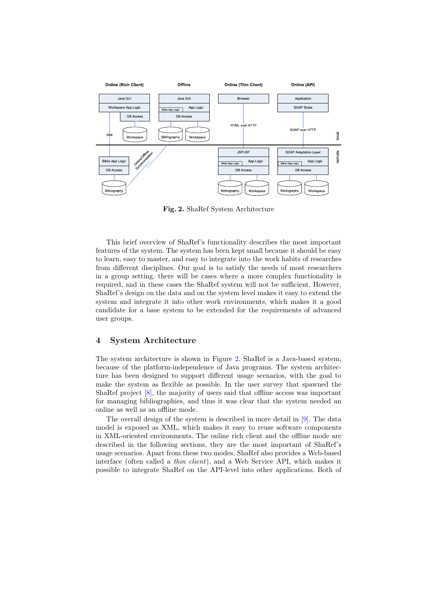<span id="page-5-0"></span>

Fig. 2. ShaRef System Architecture

This brief overview of ShaRef's functionality describes the most important features of the system. The system has been kept small because it should be easy to learn, easy to master, and easy to integrate into the work habits of researches from different disciplines. Our goal is to satisfy the needs of most researchers in a group setting, there will be cases where a more complex functionality is required, and in these cases the ShaRef system will not be sufficient. However, ShaRef's design on the data and on the system level makes it easy to extend the system and integrate it into other work environments, which makes it a good candidate for a base system to be extended for the requirements of advanced user groups.

### 4 System Architecture

The system architecture is shown in Figure 2. ShaRef is a Java-based system, because of the platform-independence of Java programs. The system architecture has been designed to support different usage scenarios, with the goal to make the system as flexible as possible. In the user survey that spawned the ShaRef project [\[8\]](#page-11-0), the majority of users said that offline access was important for managing bibliographies, and thus it was clear that the system needed an online as well as an offline mode.

The overall design of the system is described in more detail in [\[9\]](#page-11-0). The data model is exposed as XML, which makes it easy to reuse software components in XML-oriented environments. The online rich client and the offline mode are described in the following sections, they are the most important of ShaRef's usage scenarios. Apart from these two modes, ShaRef also provides a Web-based interface (often called a *thin client*), and a Web Service API, which makes it possible to integrate ShaRef on the API-level into other applications. Both of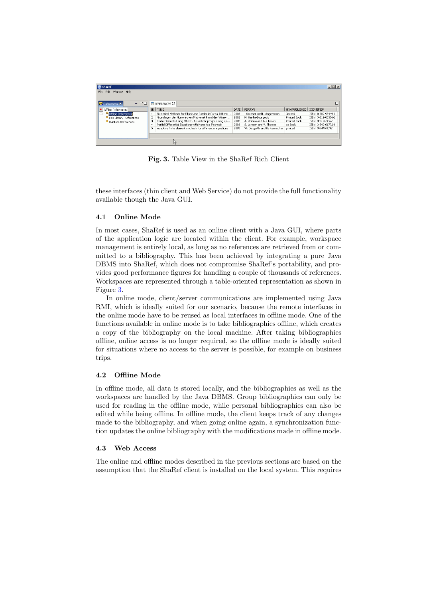<span id="page-6-0"></span>

| <b>Sharef</b>                     |   |                                                              |      |                              |                     | $  $ $\Box$ $\times$ $ $ |  |  |  |
|-----------------------------------|---|--------------------------------------------------------------|------|------------------------------|---------------------|--------------------------|--|--|--|
| Edit<br>Window Help<br>File       |   |                                                              |      |                              |                     |                          |  |  |  |
|                                   |   |                                                              |      |                              |                     |                          |  |  |  |
| $\bullet$ $\Box$<br>References X  |   | <b>E REFERENCES 23</b>                                       |      |                              |                     |                          |  |  |  |
| Offline References                |   | ID TITLE                                                     | DATE | PERSON                       | <b>HOWPUBLISHED</b> | <b>IDENTIFIER</b>        |  |  |  |
| <b>B</b> Offline References<br>国  |   | Numerical Methods for Elliptic and Parabolic Partial Differe | 2003 | Knabner and L. Angermann     | Journal             | ISBN: 0-387-95449-X      |  |  |  |
| <b>ETH Library References</b>     |   | Grundlagen der Numerischen Mathematik und des Wissen         | 2002 | M. Hanke-Bourgeois           | <b>Printed Book</b> | ISBN: 3-519-00356-2      |  |  |  |
| <sup>5</sup> Institute References | 3 | Finite Elements Using MAPLE. A symbolic programming ap       | 2002 | A. Portela and A. Charafi    | <b>Printed Book</b> | ISBN: 3540429867         |  |  |  |
|                                   |   | Partial Differential Equations with Numerical Methods        | 2003 | S. Larsson and V. Thomee     | as Book             | ISBN: 3-540-01772-0      |  |  |  |
|                                   |   | Adaptive finite element methods for differential equations   | 2003 | W. Bangerth and R. Rannacher | printed             | ISBN: 3764370092         |  |  |  |
|                                   |   |                                                              |      |                              |                     |                          |  |  |  |
|                                   |   |                                                              |      |                              |                     |                          |  |  |  |
|                                   |   |                                                              |      |                              |                     |                          |  |  |  |
|                                   |   |                                                              |      |                              |                     |                          |  |  |  |

Fig. 3. Table View in the ShaRef Rich Client

these interfaces (thin client and Web Service) do not provide the full functionality available though the Java GUI.

#### 4.1 Online Mode

In most cases, ShaRef is used as an online client with a Java GUI, where parts of the application logic are located within the client. For example, workspace management is entirely local, as long as no references are retrieved from or committed to a bibliography. This has been achieved by integrating a pure Java DBMS into ShaRef, which does not compromise ShaRef's portability, and provides good performance figures for handling a couple of thousands of references. Workspaces are represented through a table-oriented representation as shown in Figure 3.

In online mode, client/server communications are implemented using Java RMI, which is ideally suited for our scenario, because the remote interfaces in the online mode have to be reused as local interfaces in offline mode. One of the functions available in online mode is to take bibliographies offline, which creates a copy of the bibliography on the local machine. After taking bibliographies offline, online access is no longer required, so the offline mode is ideally suited for situations where no access to the server is possible, for example on business trips.

#### 4.2 Offline Mode

In offline mode, all data is stored locally, and the bibliographies as well as the workspaces are handled by the Java DBMS. Group bibliographies can only be used for reading in the offline mode, while personal bibliographies can also be edited while being offline. In offline mode, the client keeps track of any changes made to the bibliography, and when going online again, a synchronization function updates the online bibliography with the modifications made in offline mode.

#### 4.3 Web Access

The online and offline modes described in the previous sections are based on the assumption that the ShaRef client is installed on the local system. This requires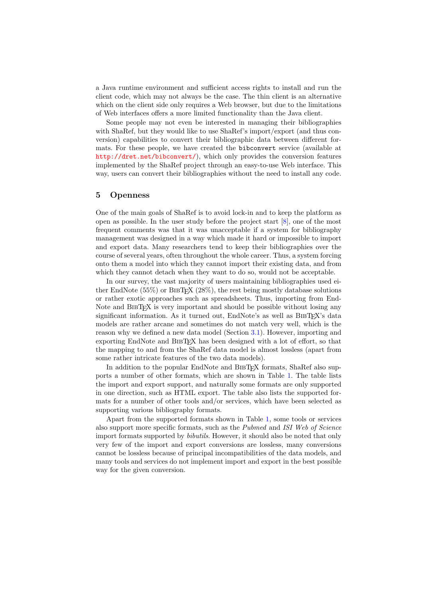<span id="page-7-0"></span>a Java runtime environment and sufficient access rights to install and run the client code, which may not always be the case. The thin client is an alternative which on the client side only requires a Web browser, but due to the limitations of Web interfaces offers a more limited functionality than the Java client.

Some people may not even be interested in managing their bibliographies with ShaRef, but they would like to use ShaRef's import/export (and thus conversion) capabilities to convert their bibliographic data between different formats. For these people, we have created the bibconvert service (available at <http://dret.net/bibconvert/>), which only provides the conversion features implemented by the ShaRef project through an easy-to-use Web interface. This way, users can convert their bibliographies without the need to install any code.

#### 5 Openness

One of the main goals of ShaRef is to avoid lock-in and to keep the platform as open as possible. In the user study before the project start [\[8\]](#page-11-0), one of the most frequent comments was that it was unacceptable if a system for bibliography management was designed in a way which made it hard or impossible to import and export data. Many researchers tend to keep their bibliographies over the course of several years, often throughout the whole career. Thus, a system forcing onto them a model into which they cannot import their existing data, and from which they cannot detach when they want to do so, would not be acceptable.

In our survey, the vast majority of users maintaining bibliographies used either EndNote  $(55\%)$  or BIBT<sub>E</sub>X  $(28\%)$ , the rest being mostly database solutions or rather exotic approaches such as spreadsheets. Thus, importing from End-Note and BIBT<sub>EX</sub> is very important and should be possible without losing any significant information. As it turned out, EndNote's as well as BIBTEX's data models are rather arcane and sometimes do not match very well, which is the reason why we defined a new data model (Section [3.1\)](#page-1-0). However, importing and exporting EndNote and BibTEX has been designed with a lot of effort, so that the mapping to and from the ShaRef data model is almost lossless (apart from some rather intricate features of the two data models).

In addition to the popular EndNote and BIBT<sub>EX</sub> formats, ShaRef also supports a number of other formats, which are shown in Table [1.](#page-8-0) The table lists the import and export support, and naturally some formats are only supported in one direction, such as HTML export. The table also lists the supported formats for a number of other tools and/or services, which have been selected as supporting various bibliography formats.

Apart from the supported formats shown in Table [1,](#page-8-0) some tools or services also support more specific formats, such as the Pubmed and ISI Web of Science import formats supported by bibutils. However, it should also be noted that only very few of the import and export conversions are lossless, many conversions cannot be lossless because of principal incompatibilities of the data models, and many tools and services do not implement import and export in the best possible way for the given conversion.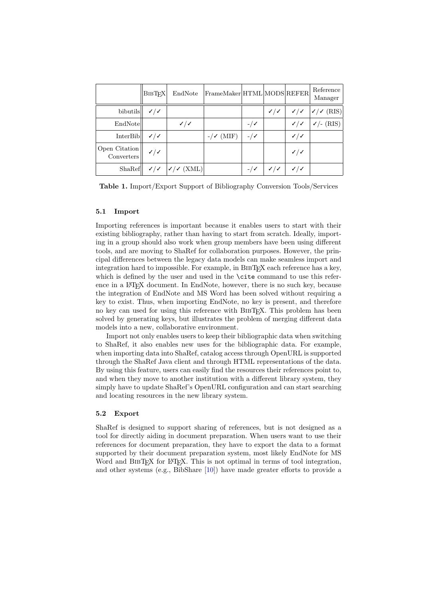<span id="page-8-0"></span>

|                             | <b>BIBTFX</b> | EndNote      | $ $ FrameMaker $ $ HTML $ $ MODS $ $ REFER $ $ |                    |              |                             | Reference<br>Manager        |
|-----------------------------|---------------|--------------|------------------------------------------------|--------------------|--------------|-----------------------------|-----------------------------|
| bibutils                    | $\checkmark$  |              |                                                |                    | $\checkmark$ |                             | $\sqrt{2}$ $\sqrt{2}$ (RIS) |
| EndNote                     |               | $\checkmark$ |                                                | $-$ / $\checkmark$ |              | $\checkmark$                | $\checkmark$ (RIS)          |
| <b>InterBib</b>             | $\checkmark$  |              | (MIF)                                          | $-$ / $\checkmark$ |              | $\checkmark$                |                             |
| Open Citation<br>Converters | $\checkmark$  |              |                                                |                    |              | $\checkmark$                |                             |
| ShaRef                      |               | (XML)        |                                                |                    | J/J          | $\checkmark$ / $\checkmark$ |                             |

Table 1. Import/Export Support of Bibliography Conversion Tools/Services

#### 5.1 Import

Importing references is important because it enables users to start with their existing bibliography, rather than having to start from scratch. Ideally, importing in a group should also work when group members have been using different tools, and are moving to ShaRef for collaboration purposes. However, the principal differences between the legacy data models can make seamless import and integration hard to impossible. For example, in BIBT<sub>E</sub>X each reference has a key, which is defined by the user and used in the **\cite** command to use this reference in a LAT<sub>EX</sub> document. In EndNote, however, there is no such key, because the integration of EndNote and MS Word has been solved without requiring a key to exist. Thus, when importing EndNote, no key is present, and therefore no key can used for using this reference with BIBT<sub>EX</sub>. This problem has been solved by generating keys, but illustrates the problem of merging different data models into a new, collaborative environment.

Import not only enables users to keep their bibliographic data when switching to ShaRef, it also enables new uses for the bibliographic data. For example, when importing data into ShaRef, catalog access through OpenURL is supported through the ShaRef Java client and through HTML representations of the data. By using this feature, users can easily find the resources their references point to, and when they move to another institution with a different library system, they simply have to update ShaRef's OpenURL configuration and can start searching and locating resources in the new library system.

#### 5.2 Export

ShaRef is designed to support sharing of references, but is not designed as a tool for directly aiding in document preparation. When users want to use their references for document preparation, they have to export the data to a format supported by their document preparation system, most likely EndNote for MS Word and BIBT<sub>EX</sub> for LAT<sub>EX</sub>. This is not optimal in terms of tool integration, and other systems (e.g., BibShare [\[10\]](#page-11-0)) have made greater efforts to provide a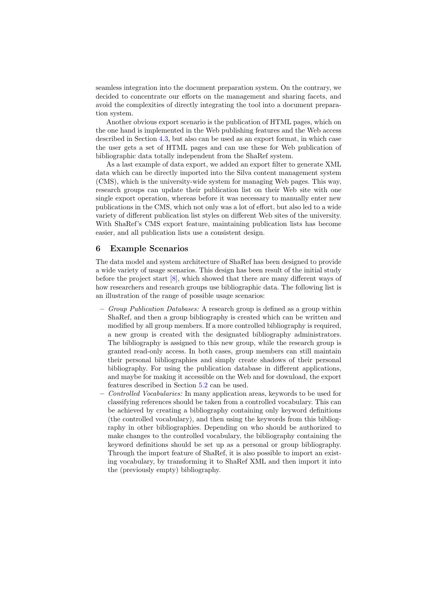<span id="page-9-0"></span>seamless integration into the document preparation system. On the contrary, we decided to concentrate our efforts on the management and sharing facets, and avoid the complexities of directly integrating the tool into a document preparation system.

Another obvious export scenario is the publication of HTML pages, which on the one hand is implemented in the Web publishing features and the Web access described in Section [4.3,](#page-6-0) but also can be used as an export format, in which case the user gets a set of HTML pages and can use these for Web publication of bibliographic data totally independent from the ShaRef system.

As a last example of data export, we added an export filter to generate XML data which can be directly imported into the Silva content management system (CMS), which is the university-wide system for managing Web pages. This way, research groups can update their publication list on their Web site with one single export operation, whereas before it was necessary to manually enter new publications in the CMS, which not only was a lot of effort, but also led to a wide variety of different publication list styles on different Web sites of the university. With ShaRef's CMS export feature, maintaining publication lists has become easier, and all publication lists use a consistent design.

### 6 Example Scenarios

The data model and system architecture of ShaRef has been designed to provide a wide variety of usage scenarios. This design has been result of the initial study before the project start [\[8\]](#page-11-0), which showed that there are many different ways of how researchers and research groups use bibliographic data. The following list is an illustration of the range of possible usage scenarios:

- $-$  Group Publication Databases: A research group is defined as a group within ShaRef, and then a group bibliography is created which can be written and modified by all group members. If a more controlled bibliography is required, a new group is created with the designated bibliography administrators. The bibliography is assigned to this new group, while the research group is granted read-only access. In both cases, group members can still maintain their personal bibliographies and simply create shadows of their personal bibliography. For using the publication database in different applications, and maybe for making it accessible on the Web and for download, the export features described in Section [5.2](#page-8-0) can be used.
- Controlled Vocabularies: In many application areas, keywords to be used for classifying references should be taken from a controlled vocabulary. This can be achieved by creating a bibliography containing only keyword definitions (the controlled vocabulary), and then using the keywords from this bibliography in other bibliographies. Depending on who should be authorized to make changes to the controlled vocabulary, the bibliography containing the keyword definitions should be set up as a personal or group bibliography. Through the import feature of ShaRef, it is also possible to import an existing vocabulary, by transforming it to ShaRef XML and then import it into the (previously empty) bibliography.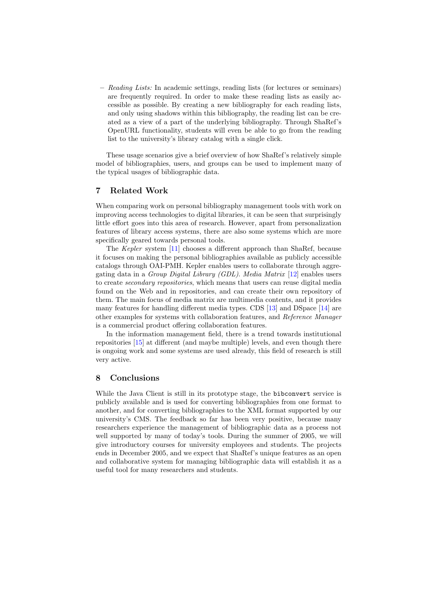<span id="page-10-0"></span> $-$  Reading Lists: In academic settings, reading lists (for lectures or seminars) are frequently required. In order to make these reading lists as easily accessible as possible. By creating a new bibliography for each reading lists, and only using shadows within this bibliography, the reading list can be created as a view of a part of the underlying bibliography. Through ShaRef's OpenURL functionality, students will even be able to go from the reading list to the university's library catalog with a single click.

These usage scenarios give a brief overview of how ShaRef's relatively simple model of bibliographies, users, and groups can be used to implement many of the typical usages of bibliographic data.

## 7 Related Work

When comparing work on personal bibliography management tools with work on improving access technologies to digital libraries, it can be seen that surprisingly little effort goes into this area of research. However, apart from personalization features of library access systems, there are also some systems which are more specifically geared towards personal tools.

The Kepler system [\[11\]](#page-11-0) chooses a different approach than ShaRef, because it focuses on making the personal bibliographies available as publicly accessible catalogs through OAI-PMH. Kepler enables users to collaborate through aggregating data in a Group Digital Library (GDL). Media Matrix [\[12\]](#page-11-0) enables users to create *secondary repositories*, which means that users can reuse digital media found on the Web and in repositories, and can create their own repository of them. The main focus of media matrix are multimedia contents, and it provides many features for handling different media types. CDS [\[13\]](#page-11-0) and DSpace [\[14\]](#page-11-0) are other examples for systems with collaboration features, and Reference Manager is a commercial product offering collaboration features.

In the information management field, there is a trend towards institutional repositories [\[15\]](#page-11-0) at different (and maybe multiple) levels, and even though there is ongoing work and some systems are used already, this field of research is still very active.

# 8 Conclusions

While the Java Client is still in its prototype stage, the bibconvert service is publicly available and is used for converting bibliographies from one format to another, and for converting bibliographies to the XML format supported by our university's CMS. The feedback so far has been very positive, because many researchers experience the management of bibliographic data as a process not well supported by many of today's tools. During the summer of 2005, we will give introductory courses for university employees and students. The projects ends in December 2005, and we expect that ShaRef's unique features as an open and collaborative system for managing bibliographic data will establish it as a useful tool for many researchers and students.